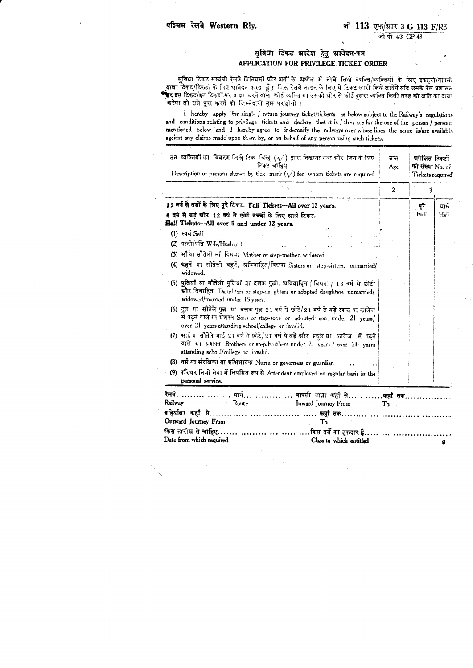## सुविधा टिकट श्रादेश हेतु श्रावेदन-पत्र APPLICATION FOR PRIVILEGE TICKET ORDER

सविधा टिकट सम्बंधी रेलवे विनियमों ग्रीर शताँ के ग्रधीन मैं नीचे लिखे व्यक्ति/व्यक्तियों के लिए इकहरी/वापसी यात्रा टिकट/टिकटों के लिए झावेदन करता हूँ । जिस रेलवे लाइन के लिए ये टिकट जारी किये जायेंगे यदि उसके रेल प्रशासन <sup>क</sup>र इस टिकट/इन टिकटों पर यात्रा करने वाला कोई व्यक्ति या उसकी ग्रोर से कोई दूसरा व्यक्ति किसी तरह की क्षति का दावः करेगा तो उसे पूरा करने की लिम्मेदारी मझ पर होगी।

I hereby apply for single / return journey ticket/tickerts as below subject to the Railway's regulations and conditions relating to privilege tickets and declare that it is / they are for the use of the person / persons mentioned below and I hereby agree to indemnify the railways over whose lines the same is/are available against any claims made upon them by, or on behalf of any person using such tickets.

| उन  व्यक्तियों का  विवरण जिन्हें टिक  चिन्ह $(\sqrt{ } )$ द्वारा दिखाया गया ग्रीर  जिन के लिए<br>टिकट चाहिए<br>Description of persons shown by tick mark $(\sqrt{})$ for whom tickets are required                           |                  | ग्रपेक्षित टिकटों<br><b>की संख्या No.</b> of<br>Tickets required |               |
|------------------------------------------------------------------------------------------------------------------------------------------------------------------------------------------------------------------------------|------------------|------------------------------------------------------------------|---------------|
|                                                                                                                                                                                                                              | $\boldsymbol{2}$ | 3                                                                |               |
| 12 वर्ष से बड़ों के लिए पूरे टिकट. Full Tickets-All over 12 years.                                                                                                                                                           |                  | पूरे                                                             | म्राध         |
| 5 वर्ष से बड़े ग्रौर 12 वर्ष से छोटे बच्चों के लिए ग्राधे टिकट.                                                                                                                                                              |                  | Full                                                             | $H_{\rm al.}$ |
| Half Tickets--All over 5 and under 12 years.                                                                                                                                                                                 |                  |                                                                  |               |
| (1) स्वयं Self                                                                                                                                                                                                               |                  |                                                                  |               |
| (2) पत्नी/पति Wife/Husband                                                                                                                                                                                                   |                  |                                                                  |               |
| (3) माँ या सौतेली माँ, विधवा Mother or step-mother, widowed                                                                                                                                                                  |                  |                                                                  |               |
| (4) धहनें या सौतेली बहनें, अविवाहित/विधवा Sisters or step-sisters, unmarried/<br>widowed.                                                                                                                                    |                  |                                                                  |               |
| (5) पुत्रियाँ या सौतेली पुलियाँ या दत्तक पुत्नी, प्रविवाहित / विधवा / 18 वर्ष से छोटी<br>ग्रौर विवाहित Daughters or step-daughters or adopted daughters unmarried/<br>widowed/married under 18 years.                        |                  |                                                                  |               |
| (6) पुत्र या सौतेले पुत्र या दत्तक पुत्र 21 वर्ष से छोटे/21 वर्ष से बड़े स्कूल या कालेज<br>में पढ़ने वाले या ग्रंशक्त Sons or step-sons or adopted son under 21 years/<br>over 21 years attending school/college or invalid. |                  |                                                                  |               |
| (7) भाई या सौतेले भाई 21 वर्ष से छोटे/21 वर्ष से बड़े और स्कूल या कालेज में पढ़ने<br>वाले या भ्रशक्त Brothers or step-brothers under 21 years / over 21 years<br>sttending school/college or invalid.                        |                  |                                                                  |               |
| (8) नर्स या संरक्षिका या अभिभावक Nurse or governess or guardian                                                                                                                                                              |                  |                                                                  |               |
| (9) परिचर निजी सेवा में नियमित रूप से Attendant employed on regular basis in the<br>personal service.                                                                                                                        |                  |                                                                  |               |
| रैलवे. …………… … मार्ग… ………. … वापसी यात्रा कहाँ से…… ……कहाँ तक…………….                                                                                                                                                          |                  |                                                                  |               |
| Railway<br>– Route<br>Inward Journey From                                                                                                                                                                                    | To               |                                                                  |               |
|                                                                                                                                                                                                                              |                  |                                                                  |               |
| Outward Journey From<br>To                                                                                                                                                                                                   |                  |                                                                  |               |
| किस तारीख से चाहिए……………… … …… ….किस दर्जे का हकदार है…… … ………                                                                                                                                                                |                  |                                                                  |               |
| Date from which required<br>Class to which entitled                                                                                                                                                                          |                  |                                                                  |               |